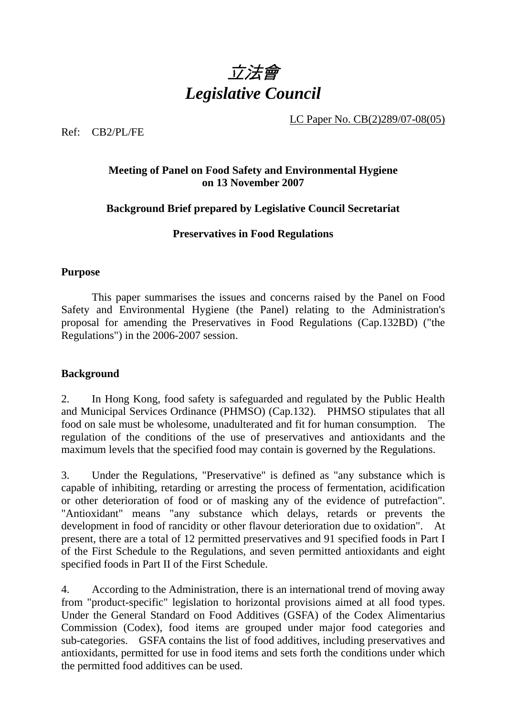

LC Paper No. CB(2)289/07-08(05)

Ref: CB2/PL/FE

## **Meeting of Panel on Food Safety and Environmental Hygiene on 13 November 2007**

## **Background Brief prepared by Legislative Council Secretariat**

## **Preservatives in Food Regulations**

## **Purpose**

This paper summarises the issues and concerns raised by the Panel on Food Safety and Environmental Hygiene (the Panel) relating to the Administration's proposal for amending the Preservatives in Food Regulations (Cap.132BD) ("the Regulations") in the 2006-2007 session.

## **Background**

2. In Hong Kong, food safety is safeguarded and regulated by the Public Health and Municipal Services Ordinance (PHMSO) (Cap.132). PHMSO stipulates that all food on sale must be wholesome, unadulterated and fit for human consumption. The regulation of the conditions of the use of preservatives and antioxidants and the maximum levels that the specified food may contain is governed by the Regulations.

3. Under the Regulations, "Preservative" is defined as "any substance which is capable of inhibiting, retarding or arresting the process of fermentation, acidification or other deterioration of food or of masking any of the evidence of putrefaction". "Antioxidant" means "any substance which delays, retards or prevents the development in food of rancidity or other flavour deterioration due to oxidation". At present, there are a total of 12 permitted preservatives and 91 specified foods in Part I of the First Schedule to the Regulations, and seven permitted antioxidants and eight specified foods in Part II of the First Schedule.

4. According to the Administration, there is an international trend of moving away from "product-specific" legislation to horizontal provisions aimed at all food types. Under the General Standard on Food Additives (GSFA) of the Codex Alimentarius Commission (Codex), food items are grouped under major food categories and sub-categories. GSFA contains the list of food additives, including preservatives and antioxidants, permitted for use in food items and sets forth the conditions under which the permitted food additives can be used.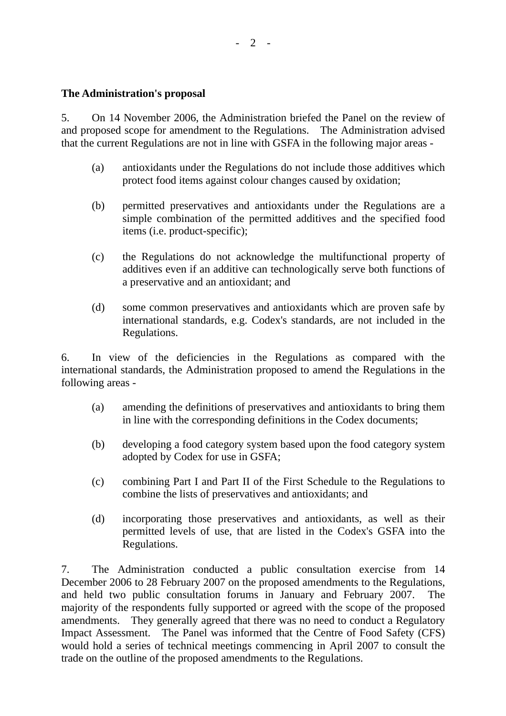## **The Administration's proposal**

5. On 14 November 2006, the Administration briefed the Panel on the review of and proposed scope for amendment to the Regulations. The Administration advised that the current Regulations are not in line with GSFA in the following major areas -

- (a) antioxidants under the Regulations do not include those additives which protect food items against colour changes caused by oxidation;
- (b) permitted preservatives and antioxidants under the Regulations are a simple combination of the permitted additives and the specified food items (i.e. product-specific);
- (c) the Regulations do not acknowledge the multifunctional property of additives even if an additive can technologically serve both functions of a preservative and an antioxidant; and
- (d) some common preservatives and antioxidants which are proven safe by international standards, e.g. Codex's standards, are not included in the Regulations.

6. In view of the deficiencies in the Regulations as compared with the international standards, the Administration proposed to amend the Regulations in the following areas -

- (a) amending the definitions of preservatives and antioxidants to bring them in line with the corresponding definitions in the Codex documents;
- (b) developing a food category system based upon the food category system adopted by Codex for use in GSFA;
- (c) combining Part I and Part II of the First Schedule to the Regulations to combine the lists of preservatives and antioxidants; and
- (d) incorporating those preservatives and antioxidants, as well as their permitted levels of use, that are listed in the Codex's GSFA into the Regulations.

7. The Administration conducted a public consultation exercise from 14 December 2006 to 28 February 2007 on the proposed amendments to the Regulations, and held two public consultation forums in January and February 2007. The majority of the respondents fully supported or agreed with the scope of the proposed amendments. They generally agreed that there was no need to conduct a Regulatory Impact Assessment. The Panel was informed that the Centre of Food Safety (CFS) would hold a series of technical meetings commencing in April 2007 to consult the trade on the outline of the proposed amendments to the Regulations.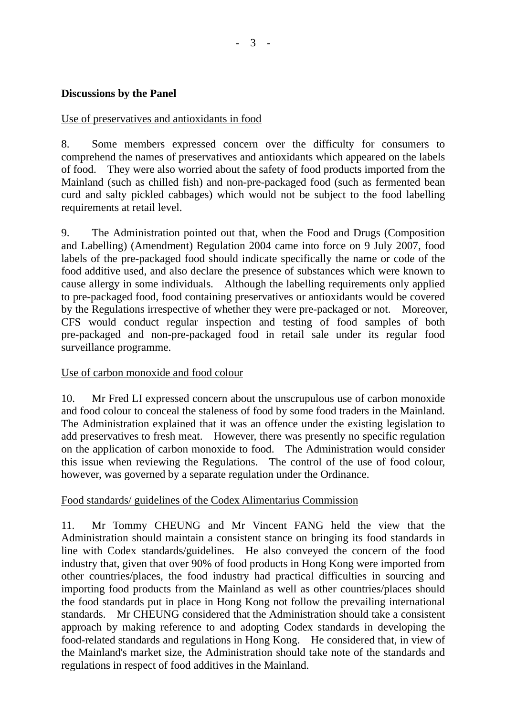## **Discussions by the Panel**

#### Use of preservatives and antioxidants in food

8. Some members expressed concern over the difficulty for consumers to comprehend the names of preservatives and antioxidants which appeared on the labels of food. They were also worried about the safety of food products imported from the Mainland (such as chilled fish) and non-pre-packaged food (such as fermented bean curd and salty pickled cabbages) which would not be subject to the food labelling requirements at retail level.

9. The Administration pointed out that, when the Food and Drugs (Composition and Labelling) (Amendment) Regulation 2004 came into force on 9 July 2007, food labels of the pre-packaged food should indicate specifically the name or code of the food additive used, and also declare the presence of substances which were known to cause allergy in some individuals. Although the labelling requirements only applied to pre-packaged food, food containing preservatives or antioxidants would be covered by the Regulations irrespective of whether they were pre-packaged or not. Moreover, CFS would conduct regular inspection and testing of food samples of both pre-packaged and non-pre-packaged food in retail sale under its regular food surveillance programme.

#### Use of carbon monoxide and food colour

10. Mr Fred LI expressed concern about the unscrupulous use of carbon monoxide and food colour to conceal the staleness of food by some food traders in the Mainland. The Administration explained that it was an offence under the existing legislation to add preservatives to fresh meat. However, there was presently no specific regulation on the application of carbon monoxide to food. The Administration would consider this issue when reviewing the Regulations. The control of the use of food colour, however, was governed by a separate regulation under the Ordinance.

#### Food standards/ guidelines of the Codex Alimentarius Commission

11. Mr Tommy CHEUNG and Mr Vincent FANG held the view that the Administration should maintain a consistent stance on bringing its food standards in line with Codex standards/guidelines. He also conveyed the concern of the food industry that, given that over 90% of food products in Hong Kong were imported from other countries/places, the food industry had practical difficulties in sourcing and importing food products from the Mainland as well as other countries/places should the food standards put in place in Hong Kong not follow the prevailing international standards. Mr CHEUNG considered that the Administration should take a consistent approach by making reference to and adopting Codex standards in developing the food-related standards and regulations in Hong Kong. He considered that, in view of the Mainland's market size, the Administration should take note of the standards and regulations in respect of food additives in the Mainland.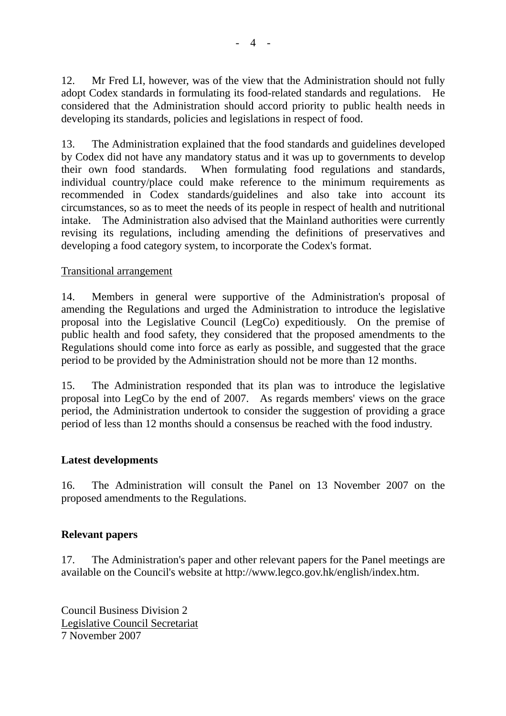12. Mr Fred LI, however, was of the view that the Administration should not fully adopt Codex standards in formulating its food-related standards and regulations. He considered that the Administration should accord priority to public health needs in developing its standards, policies and legislations in respect of food.

13. The Administration explained that the food standards and guidelines developed by Codex did not have any mandatory status and it was up to governments to develop their own food standards. When formulating food regulations and standards, individual country/place could make reference to the minimum requirements as recommended in Codex standards/guidelines and also take into account its circumstances, so as to meet the needs of its people in respect of health and nutritional intake. The Administration also advised that the Mainland authorities were currently revising its regulations, including amending the definitions of preservatives and developing a food category system, to incorporate the Codex's format.

## Transitional arrangement

14. Members in general were supportive of the Administration's proposal of amending the Regulations and urged the Administration to introduce the legislative proposal into the Legislative Council (LegCo) expeditiously. On the premise of public health and food safety, they considered that the proposed amendments to the Regulations should come into force as early as possible, and suggested that the grace period to be provided by the Administration should not be more than 12 months.

15. The Administration responded that its plan was to introduce the legislative proposal into LegCo by the end of 2007. As regards members' views on the grace period, the Administration undertook to consider the suggestion of providing a grace period of less than 12 months should a consensus be reached with the food industry.

## **Latest developments**

16. The Administration will consult the Panel on 13 November 2007 on the proposed amendments to the Regulations.

## **Relevant papers**

17. The Administration's paper and other relevant papers for the Panel meetings are available on the Council's website at http://www.legco.gov.hk/english/index.htm.

Council Business Division 2 Legislative Council Secretariat 7 November 2007